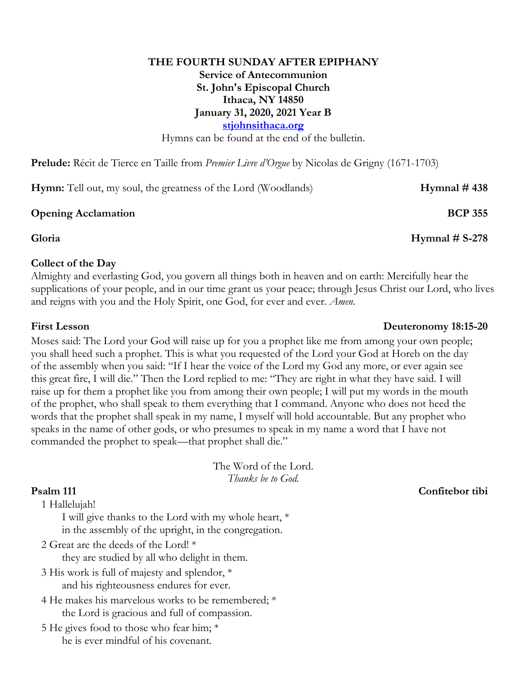## **THE FOURTH SUNDAY AFTER EPIPHANY Service of Antecommunion St. John's Episcopal Church Ithaca, NY 14850 January 31, 2020, 2021 Year B stjohnsithaca.org**

Hymns can be found at the end of the bulletin.

**Prelude:** Récit de Tierce en Taille from *Premier Livre d'Orgue* by Nicolas de Grigny (1671-1703)

**Hymn:** Tell out, my soul, the greatness of the Lord (Woodlands) **Hymnal # 438**

### **Opening Acclamation BCP 355**

**Gloria Hymnal # S-278**

### **Collect of the Day**

Almighty and everlasting God, you govern all things both in heaven and on earth: Mercifully hear the supplications of your people, and in our time grant us your peace; through Jesus Christ our Lord, who lives and reigns with you and the Holy Spirit, one God, for ever and ever. *Amen.*

Moses said: The Lord your God will raise up for you a prophet like me from among your own people; you shall heed such a prophet. This is what you requested of the Lord your God at Horeb on the day of the assembly when you said: "If I hear the voice of the Lord my God any more, or ever again see this great fire, I will die." Then the Lord replied to me: "They are right in what they have said. I will raise up for them a prophet like you from among their own people; I will put my words in the mouth of the prophet, who shall speak to them everything that I command. Anyone who does not heed the words that the prophet shall speak in my name, I myself will hold accountable. But any prophet who speaks in the name of other gods, or who presumes to speak in my name a word that I have not commanded the prophet to speak—that prophet shall die."

> The Word of the Lord. *Thanks be to God.*

1 Hallelujah!

I will give thanks to the Lord with my whole heart, \* in the assembly of the upright, in the congregation.

- 2 Great are the deeds of the Lord! \* they are studied by all who delight in them.
- 3 His work is full of majesty and splendor, \* and his righteousness endures for ever.
- 4 He makes his marvelous works to be remembered; \* the Lord is gracious and full of compassion.
- 5 He gives food to those who fear him; \* he is ever mindful of his covenant.

## **First Lesson Deuteronomy 18:15-20**

## **Psalm 111 Confitebor tibi**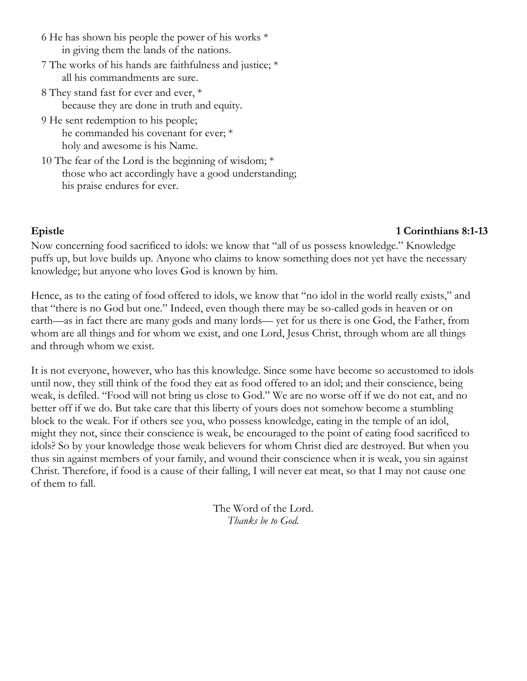- 6 He has shown his people the power of his works \* in giving them the lands of the nations.
- 7 The works of his hands are faithfulness and justice; \* all his commandments are sure.
- 8 They stand fast for ever and ever, \* because they are done in truth and equity.
- 9 He sent redemption to his people; he commanded his covenant for ever; \* holy and awesome is his Name.
- 10 The fear of the Lord is the beginning of wisdom; \* those who act accordingly have a good understanding; his praise endures for ever.

## **Epistle 1 Corinthians 8:1-13**

Now concerning food sacrificed to idols: we know that "all of us possess knowledge." Knowledge puffs up, but love builds up. Anyone who claims to know something does not yet have the necessary knowledge; but anyone who loves God is known by him.

Hence, as to the eating of food offered to idols, we know that "no idol in the world really exists," and that "there is no God but one." Indeed, even though there may be so-called gods in heaven or on earth—as in fact there are many gods and many lords— yet for us there is one God, the Father, from whom are all things and for whom we exist, and one Lord, Jesus Christ, through whom are all things and through whom we exist.

It is not everyone, however, who has this knowledge. Since some have become so accustomed to idols until now, they still think of the food they eat as food offered to an idol; and their conscience, being weak, is defiled. "Food will not bring us close to God." We are no worse off if we do not eat, and no better off if we do. But take care that this liberty of yours does not somehow become a stumbling block to the weak. For if others see you, who possess knowledge, eating in the temple of an idol, might they not, since their conscience is weak, be encouraged to the point of eating food sacrificed to idols? So by your knowledge those weak believers for whom Christ died are destroyed. But when you thus sin against members of your family, and wound their conscience when it is weak, you sin against Christ. Therefore, if food is a cause of their falling, I will never eat meat, so that I may not cause one of them to fall.

> The Word of the Lord. *Thanks be to God.*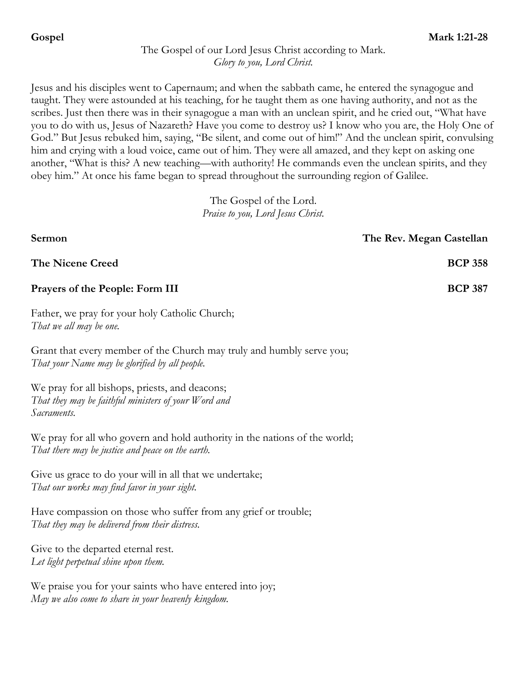# The Gospel of our Lord Jesus Christ according to Mark. *Glory to you, Lord Christ.*

Jesus and his disciples went to Capernaum; and when the sabbath came, he entered the synagogue and taught. They were astounded at his teaching, for he taught them as one having authority, and not as the scribes. Just then there was in their synagogue a man with an unclean spirit, and he cried out, "What have you to do with us, Jesus of Nazareth? Have you come to destroy us? I know who you are, the Holy One of God." But Jesus rebuked him, saying, "Be silent, and come out of him!" And the unclean spirit, convulsing him and crying with a loud voice, came out of him. They were all amazed, and they kept on asking one another, "What is this? A new teaching—with authority! He commands even the unclean spirits, and they obey him." At once his fame began to spread throughout the surrounding region of Galilee.

> The Gospel of the Lord. *Praise to you, Lord Jesus Christ.*

| Sermon                                                                                                                          | The Rev. Megan Castellan |
|---------------------------------------------------------------------------------------------------------------------------------|--------------------------|
| The Nicene Creed                                                                                                                | <b>BCP 358</b>           |
| <b>Prayers of the People: Form III</b>                                                                                          | <b>BCP 387</b>           |
| Father, we pray for your holy Catholic Church;<br>That we all may be one.                                                       |                          |
| Grant that every member of the Church may truly and humbly serve you;<br>That your Name may be glorified by all people.         |                          |
| We pray for all bishops, priests, and deacons;<br>That they may be faithful ministers of your Word and<br>Sacraments.           |                          |
| We pray for all who govern and hold authority in the nations of the world;<br>That there may be justice and peace on the earth. |                          |

Give us grace to do your will in all that we undertake; *That our works may find favor in your sight.*

Have compassion on those who suffer from any grief or trouble; *That they may be delivered from their distress.*

Give to the departed eternal rest. *Let light perpetual shine upon them.*

We praise you for your saints who have entered into joy; *May we also come to share in your heavenly kingdom.*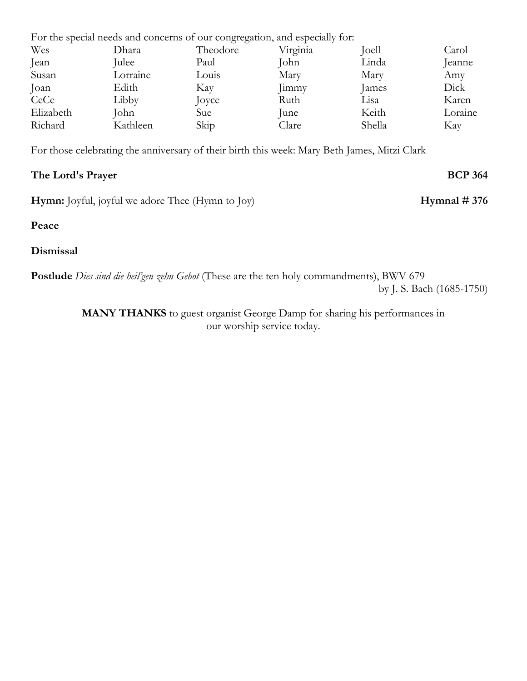|           |          | For the special needs and concerns of our congregation, and especially for: |          |        |         |
|-----------|----------|-----------------------------------------------------------------------------|----------|--------|---------|
| Wes       | Dhara    | Theodore                                                                    | Virginia | Joell  | Carol   |
| Jean      | Julee    | Paul                                                                        | John     | Linda  | Jeanne  |
| Susan     | Lorraine | Louis                                                                       | Mary     | Mary   | Amy     |
| Joan      | Edith    | Kay                                                                         | Jimmy    | James  | Dick    |
| CeCe      | Libby    | Joyce                                                                       | Ruth     | Lisa   | Karen   |
| Elizabeth | John     | Sue                                                                         | $ $ une  | Keith  | Loraine |
| Richard   | Kathleen | Skip                                                                        | Clare    | Shella | Kay     |

For those celebrating the anniversary of their birth this week: Mary Beth James, Mitzi Clark

# **The Lord's Prayer BCP 364**

**Hymn:** Joyful, joyful we adore Thee (Hymn to Joy) **Hymnal # 376** 

**Peace**

**Dismissal**

**Postlude** *Dies sind die heil'gen zehn Gebot* (These are the ten holy commandments), BWV 679 by J. S. Bach (1685-1750)

> **MANY THANKS** to guest organist George Damp for sharing his performances in our worship service today.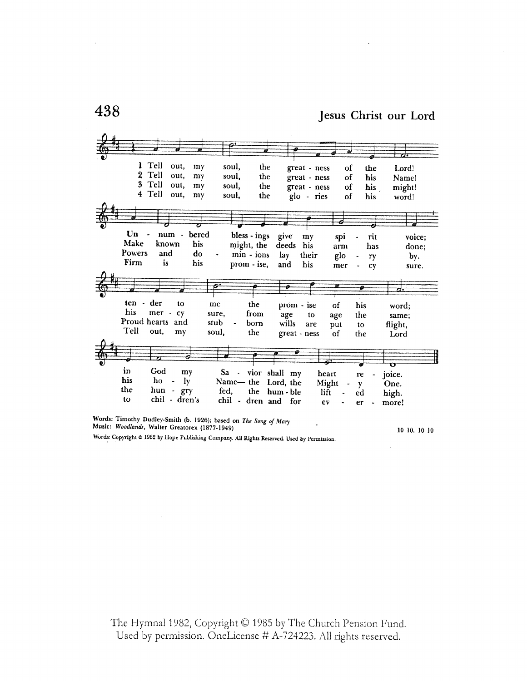| Tell<br>ı                                      | out,                 | my        |       | soul,        | the      |               | great - ness | of  | the | Lord!          |
|------------------------------------------------|----------------------|-----------|-------|--------------|----------|---------------|--------------|-----|-----|----------------|
| 2<br>Tell                                      | out,                 | my        |       | soul,        | the      |               | great - ness | of  | his | Name!          |
| 3<br>Tell                                      | out.                 | my        |       | soul,        | the      |               | great - ness | of  | his | might!         |
| 4 Tell                                         | out,                 | my        |       | soul.        | the      |               | glo - ries   | of  | his | word!          |
|                                                |                      |           |       |              |          |               |              |     |     |                |
|                                                |                      |           |       |              |          |               |              |     |     |                |
|                                                |                      |           |       |              |          |               |              |     |     |                |
|                                                |                      |           |       |              |          |               |              |     |     |                |
| $\mathbf{U}\mathbf{n}$<br>$\ddot{\phantom{0}}$ | num -                | bered     |       | bless - ings |          | give          | my           |     |     |                |
| Make                                           | known                | his       |       |              |          |               |              | spi | rit | voice;         |
|                                                |                      |           |       | might, the   |          | deeds         | his          | arm | has | done;          |
| Powers                                         | and                  | do        |       | min - ions   |          | lay           | their        | glo | ry  | by.            |
| Firm                                           | is                   | his       |       | prom - ise,  |          | and           | his          | mer | cy  | sure.          |
|                                                |                      |           |       |              |          |               |              |     |     |                |
|                                                |                      |           |       |              |          |               |              |     |     |                |
|                                                |                      |           |       |              |          |               |              |     |     |                |
|                                                |                      |           |       |              |          |               |              |     |     | 71.            |
|                                                |                      |           |       |              |          |               |              |     |     |                |
| ten - der                                      | to                   |           | me    |              | the      |               |              |     |     |                |
| his                                            | mer -<br>Cy          |           |       |              |          | prom - ise    |              | of  | his | word;          |
|                                                |                      |           | sure, |              | from     | age           | to           | age | the | same;          |
| Proud hearts and                               |                      |           | stub  |              | born     | wills         | are          | put | to  | flight,        |
| Tell<br>out,                                   | my                   |           | soul, |              | the      |               | great - ness | of  | the | Lord           |
|                                                |                      |           |       |              |          |               |              |     |     |                |
|                                                |                      |           |       |              |          |               |              |     |     |                |
|                                                |                      |           |       |              |          |               |              |     |     |                |
|                                                |                      |           |       |              |          |               |              |     |     | Ũ              |
| in<br>God                                      |                      | my        | Sa    | $\bullet$    |          | vior shall my | heart        |     | re  | joice.         |
| his<br>ho                                      | $\ddot{\phantom{1}}$ | <i>ly</i> |       | Name-the     |          | Lord, the     | Might        |     | y   | One.           |
| the<br>hun                                     | $\blacksquare$       | gry       | fed.  |              | the      | hum - ble     | lift         |     | ed  |                |
| to                                             | chil - dren's        |           | chil  | $\bullet$    | dren and | for           | ev           |     | er  | high.<br>more! |

Words: Timothy Dudley-Smith (b. 1926); based on The Song of Mary  $\ddot{\phantom{a}}$ Music: Woodlands, Walter Greatorex (1877-1949) Words: Copyright @ 1962 by Hope Publishing Company. All Rights Reserved. Used by Permission.

 $\bar{J}$ 

10 10, 10 10

 $\bar{t}$ 

The Hymnal 1982, Copyright © 1985 by The Church Pension Fund. Used by permission. OneLicense # A-724223. All rights reserved.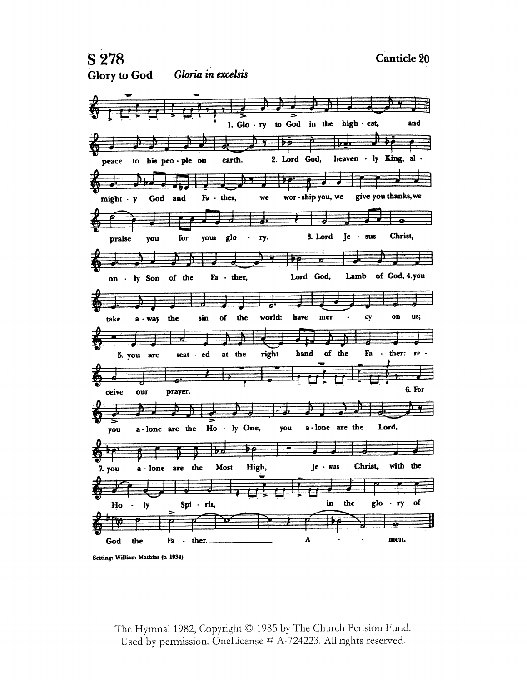



Setting: William Mathias (b. 1934)

The Hymnal 1982, Copyright © 1985 by The Church Pension Fund. Used by permission. OneLicense # A-724223. All rights reserved.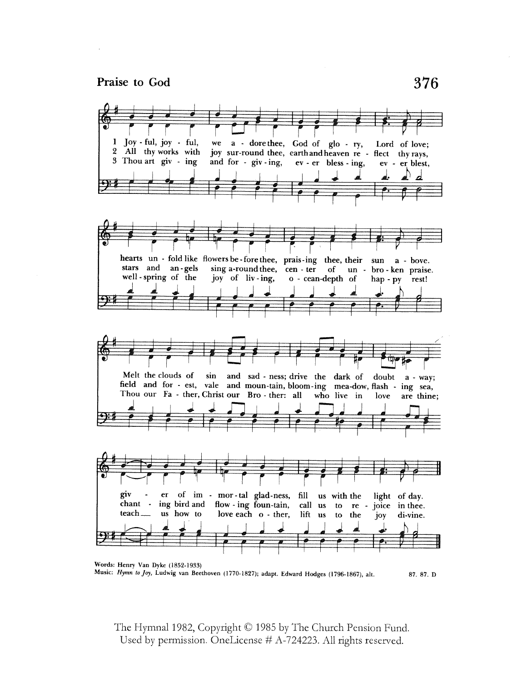Praise to God

 $\epsilon$ 



Music: Hymn to Joy, Ludwig van Beethoven (1770-1827); adapt. Edward Hodges (1796-1867), alt. 87.87.D

The Hymnal 1982, Copyright © 1985 by The Church Pension Fund. Used by permission. OneLicense # A-724223. All rights reserved.